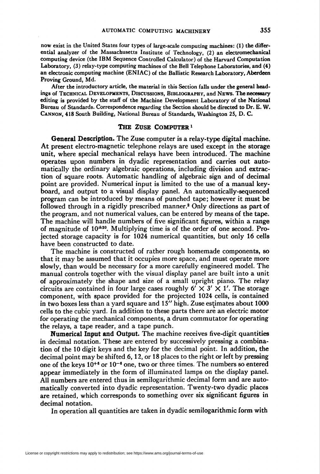now exist in the United States four types of large-scale computing machines: (1) the differential analyzer of the Massachusetts Institute of Technology, (2) an electromechanical computing device (the IBM Sequence Controlled Calculator) of the Harvard Computation Laboratory, (3) relay-type computing machines of the Bell Telephone Laboratories, and (4) an electronic computing machine (ENIAC) of the Ballistic Research Laboratory, Aberdeen Proving Ground, Md.

After the introductory article, the material in this Section falls under the general headings of Technical Developments, Discussions, Bibliography, and News. The necessary editing is provided by the staff of the Machine Development Laboratory of the National Bureau of Standards. Correspondence regarding the Section should be directed to Dr. E. W. Cannon, 418 South Building, National Bureau of Standards, Washington 25, D. C.

## THE ZUSE COMPUTER<sup>1</sup>

General Description. The Zuse computer is a relay-type digital machine. At present electro-magnetic telephone relays are used except in the storage unit, where special mechanical relays have been introduced. The machine operates upon numbers in dyadic representation and carries out automatically the ordinary algebraic operations, including division and extraction of square roots. Automatic handling of algebraic sign and of decimal point are provided. Numerical input is limited to the use of a manual keyboard, and output to a visual display panel. An automatically-sequenced program can be introduced by means of punched tape; however it must be followed through in a rigidly prescribed manner.<sup>2</sup> Only directions as part of the program, and not numerical values, can be entered by means of the tape. The machine will handle numbers of five significant figures, within a range of magnitude of  $10^{\pm 20}$ . Multiplying time is of the order of one second. Projected storage capacity is for 1024 numerical quantities, but only 16 cells have been constructed to date.

The machine is constructed of rather rough homemade components, so that it may be assumed that it occupies more space, and must operate more slowly, than would be necessary for a more carefully engineered model. The manual controls together with the visual display panel are built into a unit of approximately the shape and size of a small upright piano. The relay circuits are contained in four large cases roughly  $6' \times 3' \times 1'$ . The storage component, with space provided for the projected 1024 cells, is contained in two boxes less than a yard square and 15" high. Zuse estimates about 1000 cells to the cubic yard. In addition to these parts there are an electric motor for operating the mechanical components, a drum commutator for operating the relays, a tape reader, and a tape punch.

Numerical Input and Output. The machine receives five-digit quantities in decimal notation. These are entered by successively pressing a combination of the 10 digit keys and the key for the decimal point. In addition, the decimal point may be shifted 6, 12, or 18 places to the right or left by pressing one of the keys  $10^{+6}$  or  $10^{-6}$  one, two or three times. The numbers so entered appear immediately in the form of illuminated lamps on the display panel. All numbers are entered thus in semilogarithmic decimal form and are automatically converted into dyadic representation. Twenty-two dyadic places are retained, which corresponds to something over six significant figures in decimal notation.

In operation all quantities are taken in dyadic semilogarithmic form with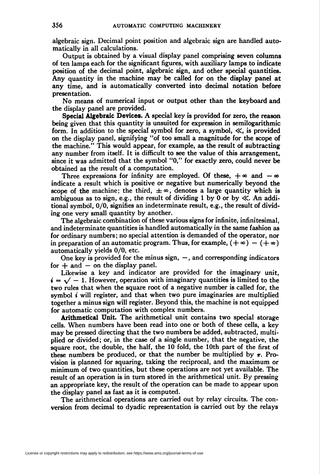algebraic sign. Decimal point position and algebraic sign are handled automatically in all calculations.

Output is obtained by a visual display panel comprising seven columns of ten lamps each for the significant figures, with auxiliary lamps to indicate position of the decimal point, algebraic sign, and other special quantities. Any quantity in the machine may be called for on the display panel at any time, and is automatically converted into decimal notation before presentation.

No means of numerical input or output other than the keyboard and the display panel are provided.

Special Algebraic Devices. A special key is provided for zero, the reason being given that this quantity is unsuited for expression in semilogarithmic form. In addition to the special symbol for zero, a symbol,  $\ll$ , is provided on the display panel, signifying "of too small a magnitude for the scope of the machine." This would appear, for example, as the result of subtracting any number from itself. It is difficult to see the value of this arrangement, since it was admitted that the symbol "0," for exactly zero, could never be obtained as the result of a computation.

Three expressions for infinity are employed. Of these,  $+\infty$  and  $-\infty$ indicate a result which is positive or negative but numerically beyond the scope of the machine; the third,  $\pm \infty$ , denotes a large quantity which is ambiguous as to sign, e.g., the result of dividing 1 by 0 or by  $\ll$ . An additional symbol, 0/0, signifies an indeterminate result, e.g., the result of dividing one very small quantity by another.

The algebraic combination of these various signs for infinite, infinitesimal, and indeterminate quantities is handled automatically in the same fashion as for ordinary numbers; no special attention is demanded of the operator, nor in preparation of an automatic program. Thus, for example,  $(+\infty) - (+\infty)$ automatically yields 0/0, etc.

One key is provided for the minus sign,  $-$ , and corresponding indicators for  $+$  and  $-$  on the display panel.

Likewise a key and indicator are provided for the imaginary unit,  $i = \sqrt{-1}$ . However, operation with imaginary quantities is limited to the two rules that when the square root of a negative number is called for, the symbol  $i$  will register, and that when two pure imaginaries are multiplied together a minus sign will register. Beyond this, the machine is not equipped for automatic computation with complex numbers.

Arithmetical Unit. The arithmetical unit contains two special storage cells. When numbers have been read into one or both of these cells, a key may be pressed directing that the two numbers be added, subtracted, multiplied or divided ; or, in the case of a single number, that the negative, the square root, the double, the half, the 10 fold, the 10th part of the first of these numbers be produced, or that the number be multiplied by  $\pi$ . Provision is planned for squaring, taking the reciprocal, and the maximum or minimum of two quantities, but these operations are not yet available. The result of an operation is in turn stored in the arithmetical unit. By pressing an appropriate key, the result of the operation can be made to appear upon the display panel as fast as it is computed.

The arithmetical operations are carried out by relay circuits. The conversion from decimal to dyadic representation is carried out by the relays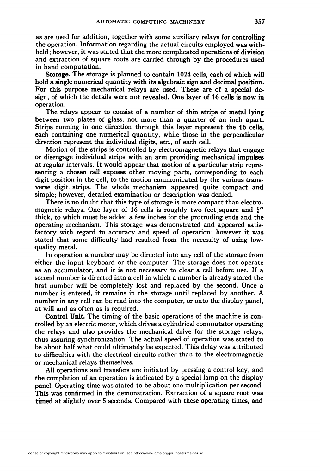as are used for addition, together with some auxiliary relays for controlling the operation. Information regarding the actual circuits employed was withheld ; however, it was stated that the more complicated operations of division and extraction of square roots are carried through by the procedures used in hand computation.

Storage. The storage is planned to contain 1024 cells, each of which will hold a single numerical quantity with its algebraic sign and decimal position. For this purpose mechanical relays are used. These are of a special design, of which the details were not revealed. One layer of 16 cells is now in operation.

The relays appear to consist of a number of thin strips of metal lying between two plates of glass, not more than a quarter of an inch apart. Strips running in one direction through this layer represent the 16 cells, each containing one numerical quantity, while those in the perpendicular direction represent the individual digits, etc., of each cell.

Motion of the strips is controlled by electromagnetic relays that engage or disengage individual strips with an arm providing mechanical impulses at regular intervals. It would appear that motion of a particular strip representing a chosen cell exposes other moving parts, corresponding to each digit position in the cell, to the motion communicated by the various transverse digit strips. The whole mechanism appeared quite compact and simple; however, detailed examination or description was denied.

There is no doubt that this type of storage is more compact than electromagnetic relays. One layer of 16 cells is roughly two feet square and  $\frac{1}{2}$ " thick, to which must be added a few inches for the protruding ends and the operating mechanism. This storage was demonstrated and appeared satisfactory with regard to accuracy and speed of operation; however it was stated that some difficulty had resulted from the necessity of using lowquality metal.

In operation a number may be directed into any cell of the storage from either the input keyboard or the computer. The storage does not operate as an accumulator, and it is not necessary to clear a cell before use. If a second number is directed into a cell in which a number is already stored the first number will be completely lost and replaced by the second. Once a number is entered, it remains in the storage until replaced by another. A number in any cell can be read into the computer, or onto the display panel, at will and as often as is required.

Control Unit. The timing of the basic operations of the machine is controlled by an electric motor, which drives a cylindrical commutator operating the relays and also provides the mechanical drive for the storage relays, thus assuring synchronization. The actual speed of operation was stated to be about half what could ultimately be expected. This delay was attributed to difficulties with the electrical circuits rather than to the electromagnetic or mechanical relays themselves.

All operations and transfers are initiated by pressing a control key, and the completion of an operation is indicated by a special lamp on the display panel. Operating time was stated to be about one multiplication per second. This was confirmed in the demonstration. Extraction of a square root was timed at slightly over 5 seconds. Compared with these operating times, and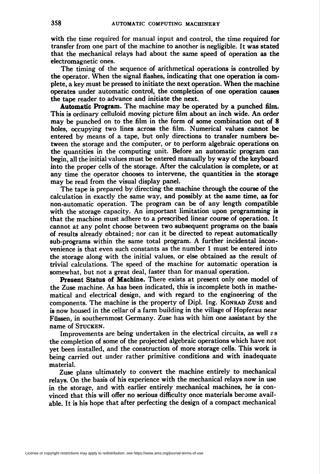with the time required for manual input and control, the time required for transfer from one part of the machine to another is negligible. It was stated that the mechanical relays had about the same speed of operation as the electromagnetic ones.

The timing of the sequence of arithmetical operations is controlled by the operator. When the signal flashes, indicating that one operation is complete, a key must be pressed to initiate the next operation. When the machine operates under automatic control, the completion of one operation causes the tape reader to advance and initiate the next.

Automatic Program. The machine may be operated by a punched film. This is ordinary celluloid moving picture film about an inch wide. An order may be punched on to the film in the form of some combination out of 8 holes, occupying two lines across the film. Numerical values cannot be entered by means of a tape, but only directions to transfer numbers between the storage and the computer, or to perform algebraic operations on the quantities in the computing unit. Before an automatic program can begin, all the initial values must be entered manually by way of the keyboard into the proper cells of the storage. After the calculation is complete, or at any time the operator chooses to intervene, the quantities in the storage may be read from the visual display panel.

The tape is prepared by directing the machine through the course of the calculation in exactly the same way, and possibly at the same time, as for non-automatic operation. The program can be of any length compatible with the storage capacity. An important limitation upon programming is that the machine must adhere to a prescribed linear course of operation. It cannot at any point choose between two subsequent programs on the basis of results already obtained; nor can it be directed to repeat automatically sub-programs within the same total program. A further incidental inconvenience is that even such constants as the number 1 must be entered into the storage along with the initial values, or else obtained as the result of trivial calculations. The speed of the machine for automatic operation is somewhat, but not a great deal, faster than for manual operation.

Present Status of Machine. There exists at present only one model of the Zuse machine. As has been indicated, this is incomplete both in mathematical and electrical design, and with regard to the engineering of the components. The machine is the property of Dipl. Ing. Konrad Zuse and is now housed in the cellar of a farm building in the village of Hopferau near Füssen, in southernmost Germany. Zuse has with him one assistant by the name of Stucken.

Improvements are being undertaken in the electrical circuits, as well  $\epsilon$ s the completion of some of the projected algebraic operations which have not yet been installed, and the construction of more storage cells. This work is being carried out under rather primitive conditions and with inadequate material.

Zuse plans ultimately to convert the machine entirely to mechanical relays. On the basis of his experience with the mechanical relays now in use in the storage, and with earlier entirely mechanical machines, he is convinced that this will offer no serious difficulty once materials become available. It is his hope that after perfecting the design of a compact mechanical